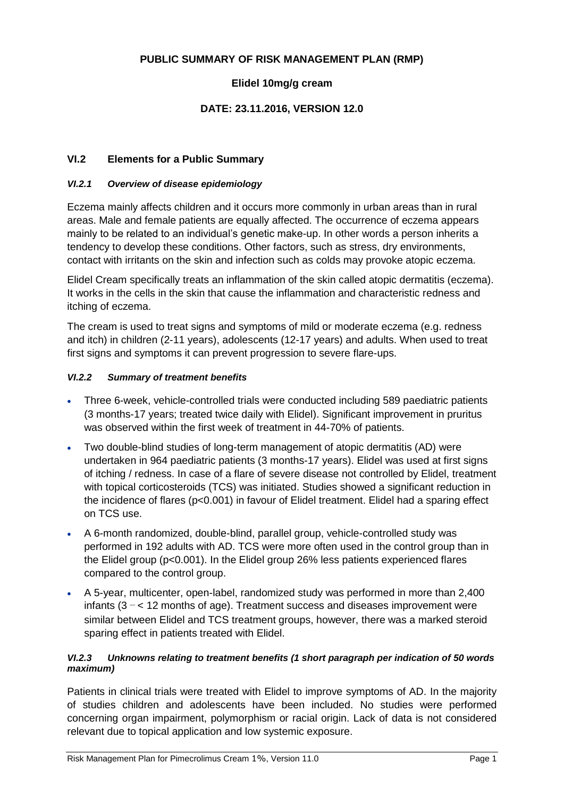### **PUBLIC SUMMARY OF RISK MANAGEMENT PLAN (RMP)**

### **Elidel 10mg/g cream**

### **DATE: 23.11.2016, VERSION 12.0**

### **VI.2 Elements for a Public Summary**

#### *VI.2.1 Overview of disease epidemiology*

Eczema mainly affects children and it occurs more commonly in urban areas than in rural areas. Male and female patients are equally affected. The occurrence of eczema appears mainly to be related to an individual's genetic make-up. In other words a person inherits a tendency to develop these conditions. Other factors, such as stress, dry environments, contact with irritants on the skin and infection such as colds may provoke atopic eczema.

Elidel Cream specifically treats an inflammation of the skin called atopic dermatitis (eczema). It works in the cells in the skin that cause the inflammation and characteristic redness and itching of eczema.

The cream is used to treat signs and symptoms of mild or moderate eczema (e.g. redness and itch) in children (2-11 years), adolescents (12-17 years) and adults. When used to treat first signs and symptoms it can prevent progression to severe flare-ups.

#### *VI.2.2 Summary of treatment benefits*

- Three 6-week, vehicle-controlled trials were conducted including 589 paediatric patients (3 months-17 years; treated twice daily with Elidel). Significant improvement in pruritus was observed within the first week of treatment in 44-70% of patients.
- Two double-blind studies of long-term management of atopic dermatitis (AD) were undertaken in 964 paediatric patients (3 months-17 years). Elidel was used at first signs of itching / redness. In case of a flare of severe disease not controlled by Elidel, treatment with topical corticosteroids (TCS) was initiated. Studies showed a significant reduction in the incidence of flares (p<0.001) in favour of Elidel treatment. Elidel had a sparing effect on TCS use.
- A 6-month randomized, double-blind, parallel group, vehicle-controlled study was performed in 192 adults with AD. TCS were more often used in the control group than in the Elidel group (p<0.001). In the Elidel group 26% less patients experienced flares compared to the control group.
- A 5-year, multicenter, open-label, randomized study was performed in more than 2,400 infants (3 − < 12 months of age). Treatment success and diseases improvement were similar between Elidel and TCS treatment groups, however, there was a marked steroid sparing effect in patients treated with Elidel.

#### *VI.2.3 Unknowns relating to treatment benefits (1 short paragraph per indication of 50 words maximum)*

Patients in clinical trials were treated with Elidel to improve symptoms of AD. In the majority of studies children and adolescents have been included. No studies were performed concerning organ impairment, polymorphism or racial origin. Lack of data is not considered relevant due to topical application and low systemic exposure.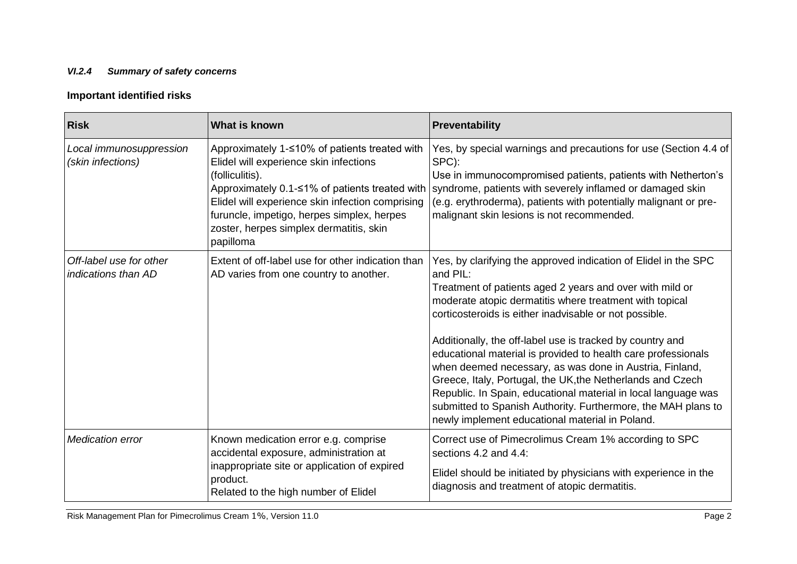## *VI.2.4 Summary of safety concerns*

# **Important identified risks**

| <b>Risk</b>                                    | What is known                                                                                                                                                                                                                                                                                                            | Preventability                                                                                                                                                                                                                                                                                                                                                                                                                                                                                                                                                                                                                                                                                            |
|------------------------------------------------|--------------------------------------------------------------------------------------------------------------------------------------------------------------------------------------------------------------------------------------------------------------------------------------------------------------------------|-----------------------------------------------------------------------------------------------------------------------------------------------------------------------------------------------------------------------------------------------------------------------------------------------------------------------------------------------------------------------------------------------------------------------------------------------------------------------------------------------------------------------------------------------------------------------------------------------------------------------------------------------------------------------------------------------------------|
| Local immunosuppression<br>(skin infections)   | Approximately 1-≤10% of patients treated with<br>Elidel will experience skin infections<br>(folliculitis).<br>Approximately 0.1-≤1% of patients treated with  <br>Elidel will experience skin infection comprising<br>furuncle, impetigo, herpes simplex, herpes<br>zoster, herpes simplex dermatitis, skin<br>papilloma | Yes, by special warnings and precautions for use (Section 4.4 of<br>SPC):<br>Use in immunocompromised patients, patients with Netherton's<br>syndrome, patients with severely inflamed or damaged skin<br>(e.g. erythroderma), patients with potentially malignant or pre-<br>malignant skin lesions is not recommended.                                                                                                                                                                                                                                                                                                                                                                                  |
| Off-label use for other<br>indications than AD | Extent of off-label use for other indication than<br>AD varies from one country to another.                                                                                                                                                                                                                              | Yes, by clarifying the approved indication of Elidel in the SPC<br>and PIL:<br>Treatment of patients aged 2 years and over with mild or<br>moderate atopic dermatitis where treatment with topical<br>corticosteroids is either inadvisable or not possible.<br>Additionally, the off-label use is tracked by country and<br>educational material is provided to health care professionals<br>when deemed necessary, as was done in Austria, Finland,<br>Greece, Italy, Portugal, the UK, the Netherlands and Czech<br>Republic. In Spain, educational material in local language was<br>submitted to Spanish Authority. Furthermore, the MAH plans to<br>newly implement educational material in Poland. |
| <b>Medication error</b>                        | Known medication error e.g. comprise<br>accidental exposure, administration at<br>inappropriate site or application of expired<br>product.<br>Related to the high number of Elidel                                                                                                                                       | Correct use of Pimecrolimus Cream 1% according to SPC<br>sections 4.2 and 4.4:<br>Elidel should be initiated by physicians with experience in the<br>diagnosis and treatment of atopic dermatitis.                                                                                                                                                                                                                                                                                                                                                                                                                                                                                                        |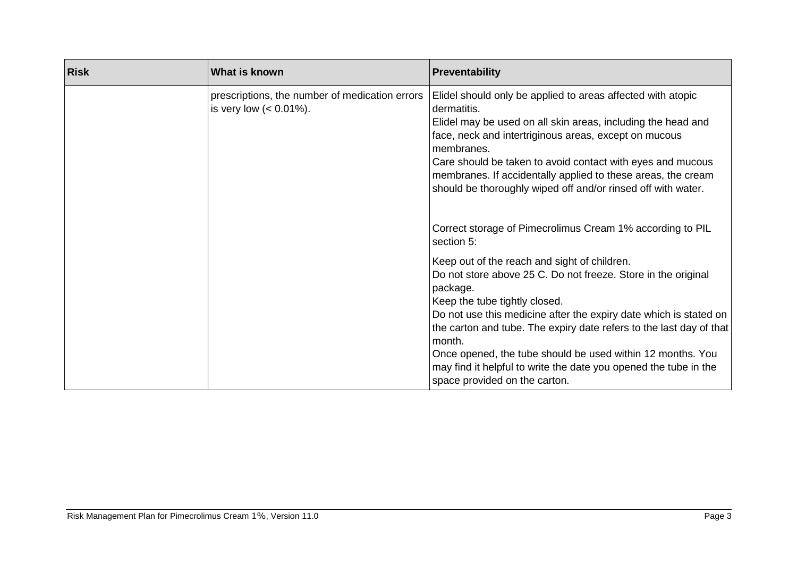| <b>Risk</b> | What is known                                                                | Preventability                                                                                                                                                                                                                                                                                                                                                                                                                                                                      |
|-------------|------------------------------------------------------------------------------|-------------------------------------------------------------------------------------------------------------------------------------------------------------------------------------------------------------------------------------------------------------------------------------------------------------------------------------------------------------------------------------------------------------------------------------------------------------------------------------|
|             | prescriptions, the number of medication errors<br>is very low $(< 0.01\%)$ . | Elidel should only be applied to areas affected with atopic<br>dermatitis.<br>Elidel may be used on all skin areas, including the head and<br>face, neck and intertriginous areas, except on mucous<br>membranes.<br>Care should be taken to avoid contact with eyes and mucous<br>membranes. If accidentally applied to these areas, the cream<br>should be thoroughly wiped off and/or rinsed off with water.                                                                     |
|             |                                                                              | Correct storage of Pimecrolimus Cream 1% according to PIL<br>section 5:                                                                                                                                                                                                                                                                                                                                                                                                             |
|             |                                                                              | Keep out of the reach and sight of children.<br>Do not store above 25 C. Do not freeze. Store in the original<br>package.<br>Keep the tube tightly closed.<br>Do not use this medicine after the expiry date which is stated on<br>the carton and tube. The expiry date refers to the last day of that<br>month.<br>Once opened, the tube should be used within 12 months. You<br>may find it helpful to write the date you opened the tube in the<br>space provided on the carton. |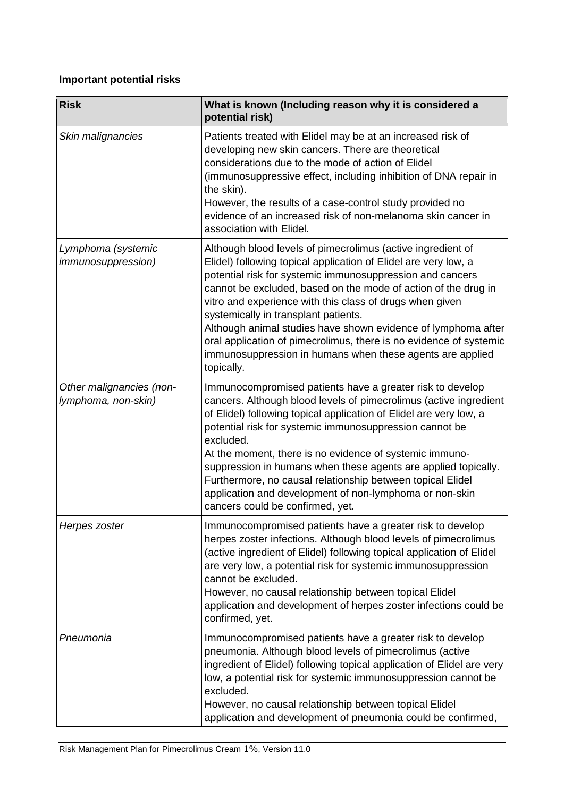# **Important potential risks**

| <b>Risk</b>                                     | What is known (Including reason why it is considered a<br>potential risk)                                                                                                                                                                                                                                                                                                                                                                                                                                                                                                           |  |
|-------------------------------------------------|-------------------------------------------------------------------------------------------------------------------------------------------------------------------------------------------------------------------------------------------------------------------------------------------------------------------------------------------------------------------------------------------------------------------------------------------------------------------------------------------------------------------------------------------------------------------------------------|--|
| Skin malignancies                               | Patients treated with Elidel may be at an increased risk of<br>developing new skin cancers. There are theoretical<br>considerations due to the mode of action of Elidel<br>(immunosuppressive effect, including inhibition of DNA repair in<br>the skin).<br>However, the results of a case-control study provided no<br>evidence of an increased risk of non-melanoma skin cancer in<br>association with Elidel.                                                                                                                                                                   |  |
| Lymphoma (systemic<br><i>immunosuppression)</i> | Although blood levels of pimecrolimus (active ingredient of<br>Elidel) following topical application of Elidel are very low, a<br>potential risk for systemic immunosuppression and cancers<br>cannot be excluded, based on the mode of action of the drug in<br>vitro and experience with this class of drugs when given<br>systemically in transplant patients.<br>Although animal studies have shown evidence of lymphoma after<br>oral application of pimecrolimus, there is no evidence of systemic<br>immunosuppression in humans when these agents are applied<br>topically. |  |
| Other malignancies (non-<br>lymphoma, non-skin) | Immunocompromised patients have a greater risk to develop<br>cancers. Although blood levels of pimecrolimus (active ingredient<br>of Elidel) following topical application of Elidel are very low, a<br>potential risk for systemic immunosuppression cannot be<br>excluded.<br>At the moment, there is no evidence of systemic immuno-<br>suppression in humans when these agents are applied topically.<br>Furthermore, no causal relationship between topical Elidel<br>application and development of non-lymphoma or non-skin<br>cancers could be confirmed, yet.              |  |
| Herpes zoster                                   | Immunocompromised patients have a greater risk to develop<br>herpes zoster infections. Although blood levels of pimecrolimus<br>(active ingredient of Elidel) following topical application of Elidel<br>are very low, a potential risk for systemic immunosuppression<br>cannot be excluded.<br>However, no causal relationship between topical Elidel<br>application and development of herpes zoster infections could be<br>confirmed, yet.                                                                                                                                      |  |
| Pneumonia                                       | Immunocompromised patients have a greater risk to develop<br>pneumonia. Although blood levels of pimecrolimus (active<br>ingredient of Elidel) following topical application of Elidel are very<br>low, a potential risk for systemic immunosuppression cannot be<br>excluded.<br>However, no causal relationship between topical Elidel<br>application and development of pneumonia could be confirmed,                                                                                                                                                                            |  |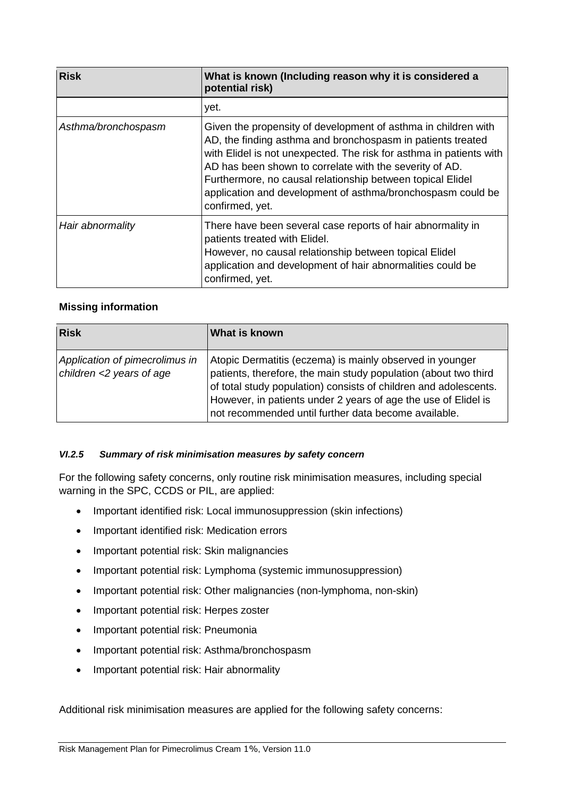| <b>Risk</b>         | What is known (Including reason why it is considered a<br>potential risk)                                                                                                                                                                                                                                                                                                                                       |
|---------------------|-----------------------------------------------------------------------------------------------------------------------------------------------------------------------------------------------------------------------------------------------------------------------------------------------------------------------------------------------------------------------------------------------------------------|
|                     | yet.                                                                                                                                                                                                                                                                                                                                                                                                            |
| Asthma/bronchospasm | Given the propensity of development of asthma in children with<br>AD, the finding asthma and bronchospasm in patients treated<br>with Elidel is not unexpected. The risk for asthma in patients with<br>AD has been shown to correlate with the severity of AD.<br>Furthermore, no causal relationship between topical Elidel<br>application and development of asthma/bronchospasm could be<br>confirmed, yet. |
| Hair abnormality    | There have been several case reports of hair abnormality in<br>patients treated with Elidel.<br>However, no causal relationship between topical Elidel<br>application and development of hair abnormalities could be<br>confirmed, yet.                                                                                                                                                                         |

### **Missing information**

| <b>Risk</b>                                                | What is known                                                                                                                                                                                                                                                                                                             |
|------------------------------------------------------------|---------------------------------------------------------------------------------------------------------------------------------------------------------------------------------------------------------------------------------------------------------------------------------------------------------------------------|
| Application of pimecrolimus in<br>children <2 years of age | Atopic Dermatitis (eczema) is mainly observed in younger<br>patients, therefore, the main study population (about two third<br>of total study population) consists of children and adolescents.<br>However, in patients under 2 years of age the use of Elidel is<br>not recommended until further data become available. |

#### *VI.2.5 Summary of risk minimisation measures by safety concern*

For the following safety concerns, only routine risk minimisation measures, including special warning in the SPC, CCDS or PIL, are applied:

- Important identified risk: Local immunosuppression (skin infections)
- Important identified risk: Medication errors
- Important potential risk: Skin malignancies
- Important potential risk: Lymphoma (systemic immunosuppression)
- Important potential risk: Other malignancies (non-lymphoma, non-skin)
- Important potential risk: Herpes zoster
- Important potential risk: Pneumonia
- Important potential risk: Asthma/bronchospasm
- Important potential risk: Hair abnormality

Additional risk minimisation measures are applied for the following safety concerns: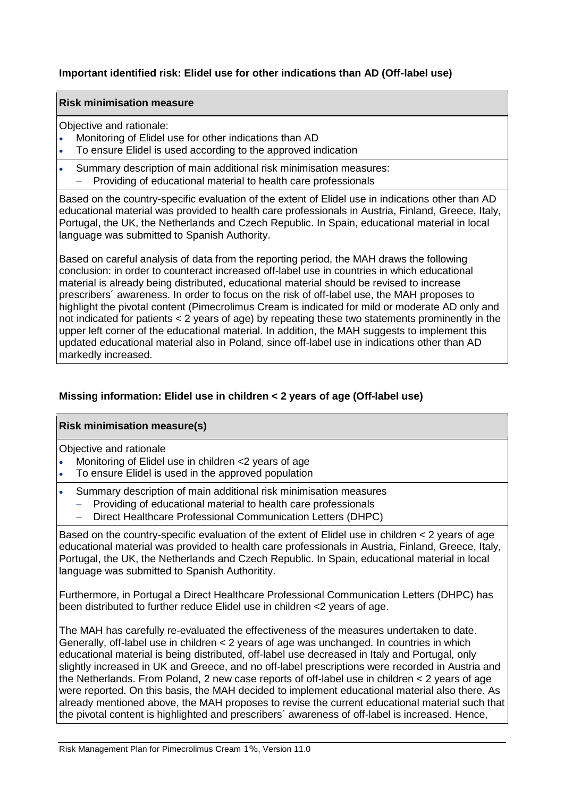### **Important identified risk: Elidel use for other indications than AD (Off-label use)**

### **Risk minimisation measure**

Objective and rationale:

- Monitoring of Elidel use for other indications than AD
- To ensure Elidel is used according to the approved indication
- Summary description of main additional risk minimisation measures: Providing of educational material to health care professionals

Based on the country-specific evaluation of the extent of Elidel use in indications other than AD educational material was provided to health care professionals in Austria, Finland, Greece, Italy, Portugal, the UK, the Netherlands and Czech Republic. In Spain, educational material in local language was submitted to Spanish Authority.

Based on careful analysis of data from the reporting period, the MAH draws the following conclusion: in order to counteract increased off-label use in countries in which educational material is already being distributed, educational material should be revised to increase prescribers´ awareness. In order to focus on the risk of off-label use, the MAH proposes to highlight the pivotal content (Pimecrolimus Cream is indicated for mild or moderate AD only and not indicated for patients  $< 2$  years of age) by repeating these two statements prominently in the upper left corner of the educational material. In addition, the MAH suggests to implement this updated educational material also in Poland, since off-label use in indications other than AD markedly increased.

### **Missing information: Elidel use in children < 2 years of age (Off-label use)**

### **Risk minimisation measure(s)**

Objective and rationale

- Monitoring of Elidel use in children <2 years of age
- To ensure Elidel is used in the approved population
- Summary description of main additional risk minimisation measures
	- Providing of educational material to health care professionals
	- Direct Healthcare Professional Communication Letters (DHPC)

Based on the country-specific evaluation of the extent of Elidel use in children < 2 years of age educational material was provided to health care professionals in Austria, Finland, Greece, Italy, Portugal, the UK, the Netherlands and Czech Republic. In Spain, educational material in local language was submitted to Spanish Authoritity.

Furthermore, in Portugal a Direct Healthcare Professional Communication Letters (DHPC) has been distributed to further reduce Elidel use in children <2 years of age.

The MAH has carefully re-evaluated the effectiveness of the measures undertaken to date. Generally, off-label use in children < 2 years of age was unchanged. In countries in which educational material is being distributed, off-label use decreased in Italy and Portugal, only slightly increased in UK and Greece, and no off-label prescriptions were recorded in Austria and the Netherlands. From Poland, 2 new case reports of off-label use in children < 2 years of age were reported. On this basis, the MAH decided to implement educational material also there. As already mentioned above, the MAH proposes to revise the current educational material such that the pivotal content is highlighted and prescribers´ awareness of off-label is increased. Hence,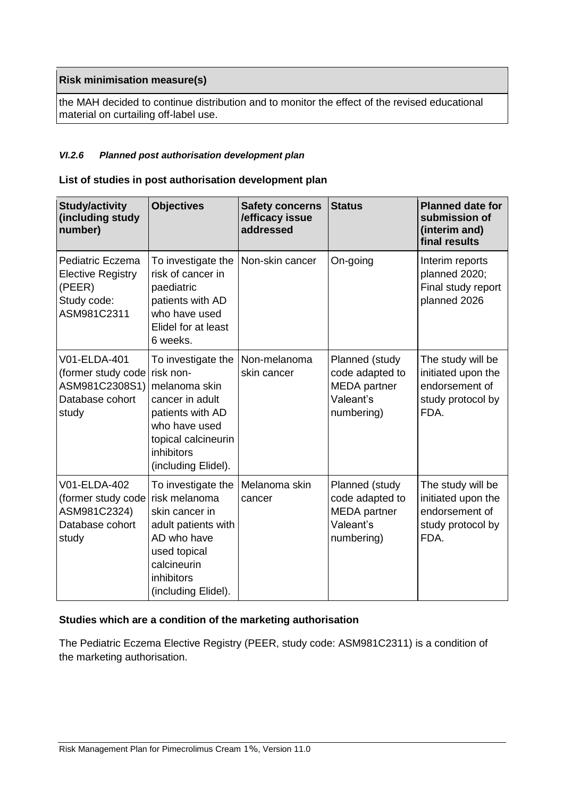### **Risk minimisation measure(s)**

the MAH decided to continue distribution and to monitor the effect of the revised educational material on curtailing off-label use.

#### *VI.2.6 Planned post authorisation development plan*

#### **List of studies in post authorisation development plan**

| <b>Study/activity</b><br>(including study<br>number)                                         | <b>Objectives</b>                                                                                                                                               | <b>Safety concerns</b><br>/efficacy issue<br>addressed | <b>Status</b>                                                                       | <b>Planned date for</b><br>submission of<br>(interim and)<br>final results             |
|----------------------------------------------------------------------------------------------|-----------------------------------------------------------------------------------------------------------------------------------------------------------------|--------------------------------------------------------|-------------------------------------------------------------------------------------|----------------------------------------------------------------------------------------|
| Pediatric Eczema<br><b>Elective Registry</b><br>(PEER)<br>Study code:<br>ASM981C2311         | To investigate the<br>risk of cancer in<br>paediatric<br>patients with AD<br>who have used<br>Elidel for at least<br>6 weeks.                                   | Non-skin cancer                                        | On-going                                                                            | Interim reports<br>planned 2020;<br>Final study report<br>planned 2026                 |
| V01-ELDA-401<br>(former study code   risk non-<br>ASM981C2308S1)<br>Database cohort<br>study | To investigate the<br>melanoma skin<br>cancer in adult<br>patients with AD<br>who have used<br>topical calcineurin<br>inhibitors<br>(including Elidel).         | Non-melanoma<br>skin cancer                            | Planned (study<br>code adapted to<br><b>MEDA</b> partner<br>Valeant's<br>numbering) | The study will be<br>initiated upon the<br>endorsement of<br>study protocol by<br>FDA. |
| V01-ELDA-402<br>(former study code)<br>ASM981C2324)<br>Database cohort<br>study              | To investigate the<br>risk melanoma<br>skin cancer in<br>adult patients with<br>AD who have<br>used topical<br>calcineurin<br>inhibitors<br>(including Elidel). | Melanoma skin<br>cancer                                | Planned (study<br>code adapted to<br><b>MEDA</b> partner<br>Valeant's<br>numbering) | The study will be<br>initiated upon the<br>endorsement of<br>study protocol by<br>FDA. |

### **Studies which are a condition of the marketing authorisation**

The Pediatric Eczema Elective Registry (PEER, study code: ASM981C2311) is a condition of the marketing authorisation.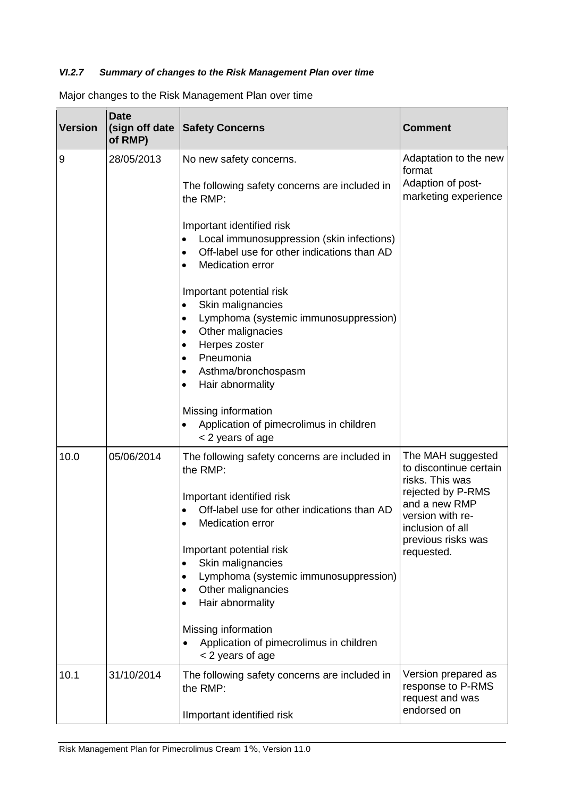## *VI.2.7 Summary of changes to the Risk Management Plan over time*

Major changes to the Risk Management Plan over time

| <b>Version</b> | <b>Date</b><br>(sign off date<br>of RMP) | <b>Safety Concerns</b>                                                                                                                                                                                                                                                                                                                                                                                                                                                                         | <b>Comment</b>                                                                                                                                                                   |
|----------------|------------------------------------------|------------------------------------------------------------------------------------------------------------------------------------------------------------------------------------------------------------------------------------------------------------------------------------------------------------------------------------------------------------------------------------------------------------------------------------------------------------------------------------------------|----------------------------------------------------------------------------------------------------------------------------------------------------------------------------------|
| 9              | 28/05/2013                               | No new safety concerns.<br>The following safety concerns are included in<br>the RMP:<br>Important identified risk<br>Local immunosuppression (skin infections)<br>Off-label use for other indications than AD<br>$\bullet$<br><b>Medication error</b><br>Important potential risk<br>Skin malignancies<br>Lymphoma (systemic immunosuppression)<br>Other malignacies<br>$\bullet$<br>Herpes zoster<br>Pneumonia<br>Asthma/bronchospasm<br>$\bullet$<br>Hair abnormality<br>Missing information | Adaptation to the new<br>format<br>Adaption of post-<br>marketing experience                                                                                                     |
|                |                                          | Application of pimecrolimus in children<br>< 2 years of age                                                                                                                                                                                                                                                                                                                                                                                                                                    |                                                                                                                                                                                  |
| 10.0           | 05/06/2014                               | The following safety concerns are included in<br>the RMP:<br>Important identified risk<br>Off-label use for other indications than AD<br><b>Medication error</b><br>$\bullet$<br>Important potential risk<br>Skin malignancies<br>$\bullet$<br>Lymphoma (systemic immunosuppression)<br>$\bullet$<br>Other malignancies<br>Hair abnormality<br>Missing information<br>Application of pimecrolimus in children<br>$\bullet$<br>< 2 years of age                                                 | The MAH suggested<br>to discontinue certain<br>risks. This was<br>rejected by P-RMS<br>and a new RMP<br>version with re-<br>inclusion of all<br>previous risks was<br>requested. |
| 10.1           | 31/10/2014                               | The following safety concerns are included in<br>the RMP:                                                                                                                                                                                                                                                                                                                                                                                                                                      | Version prepared as<br>response to P-RMS<br>request and was                                                                                                                      |
|                |                                          | Ilmportant identified risk                                                                                                                                                                                                                                                                                                                                                                                                                                                                     | endorsed on                                                                                                                                                                      |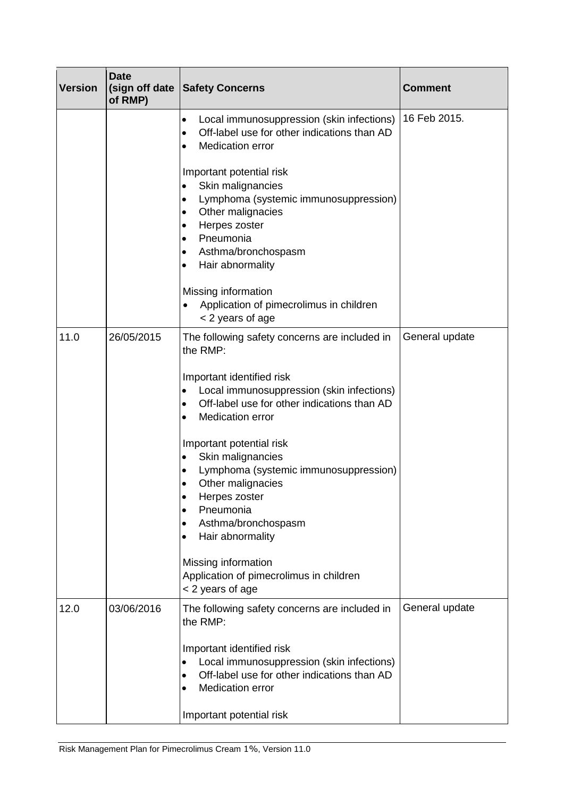| <b>Version</b> | <b>Date</b><br>(sign off date<br>of RMP) | <b>Safety Concerns</b>                                                                                                                                                                                                                                                                                                                                                                                                                                                                                                                                       | <b>Comment</b> |
|----------------|------------------------------------------|--------------------------------------------------------------------------------------------------------------------------------------------------------------------------------------------------------------------------------------------------------------------------------------------------------------------------------------------------------------------------------------------------------------------------------------------------------------------------------------------------------------------------------------------------------------|----------------|
|                |                                          | Local immunosuppression (skin infections)<br>$\bullet$<br>Off-label use for other indications than AD<br>$\bullet$<br><b>Medication error</b><br>$\bullet$<br>Important potential risk<br>Skin malignancies<br>$\bullet$<br>Lymphoma (systemic immunosuppression)<br>Other malignacies<br>$\bullet$<br>Herpes zoster<br>$\bullet$<br>Pneumonia<br>$\bullet$                                                                                                                                                                                                  | 16 Feb 2015.   |
|                |                                          | Asthma/bronchospasm<br>٠<br>Hair abnormality<br>$\bullet$<br>Missing information<br>Application of pimecrolimus in children<br>$\bullet$<br>< 2 years of age                                                                                                                                                                                                                                                                                                                                                                                                 |                |
| 11.0           | 26/05/2015                               | The following safety concerns are included in<br>the RMP:<br>Important identified risk<br>Local immunosuppression (skin infections)<br>Off-label use for other indications than AD<br>$\bullet$<br><b>Medication error</b><br>$\bullet$<br>Important potential risk<br>Skin malignancies<br>$\bullet$<br>Lymphoma (systemic immunosuppression)<br>Other malignacies<br>Herpes zoster<br>$\bullet$<br>Pneumonia<br>Asthma/bronchospasm<br>Hair abnormality<br>$\bullet$<br>Missing information<br>Application of pimecrolimus in children<br>< 2 years of age | General update |
| 12.0           | 03/06/2016                               | The following safety concerns are included in<br>the RMP:<br>Important identified risk<br>Local immunosuppression (skin infections)<br>Off-label use for other indications than AD<br>$\bullet$<br><b>Medication error</b><br>Important potential risk                                                                                                                                                                                                                                                                                                       | General update |